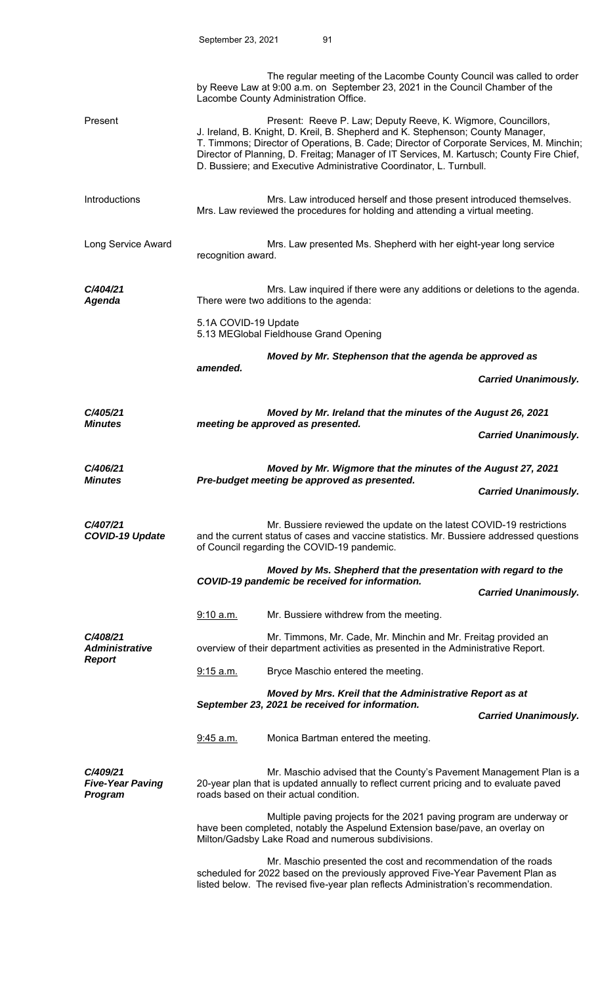|                                                |                                                                                                                                                       | The regular meeting of the Lacombe County Council was called to order<br>by Reeve Law at 9:00 a.m. on September 23, 2021 in the Council Chamber of the<br>Lacombe County Administration Office.                                                                                                                                                                                                                  |                             |  |
|------------------------------------------------|-------------------------------------------------------------------------------------------------------------------------------------------------------|------------------------------------------------------------------------------------------------------------------------------------------------------------------------------------------------------------------------------------------------------------------------------------------------------------------------------------------------------------------------------------------------------------------|-----------------------------|--|
| Present                                        |                                                                                                                                                       | Present: Reeve P. Law; Deputy Reeve, K. Wigmore, Councillors,<br>J. Ireland, B. Knight, D. Kreil, B. Shepherd and K. Stephenson; County Manager,<br>T. Timmons; Director of Operations, B. Cade; Director of Corporate Services, M. Minchin;<br>Director of Planning, D. Freitag; Manager of IT Services, M. Kartusch; County Fire Chief,<br>D. Bussiere; and Executive Administrative Coordinator, L. Turnbull. |                             |  |
| Introductions                                  | Mrs. Law introduced herself and those present introduced themselves.<br>Mrs. Law reviewed the procedures for holding and attending a virtual meeting. |                                                                                                                                                                                                                                                                                                                                                                                                                  |                             |  |
| Long Service Award                             |                                                                                                                                                       | Mrs. Law presented Ms. Shepherd with her eight-year long service<br>recognition award.                                                                                                                                                                                                                                                                                                                           |                             |  |
| C/404/21<br><b>Agenda</b>                      |                                                                                                                                                       | Mrs. Law inquired if there were any additions or deletions to the agenda.<br>There were two additions to the agenda:                                                                                                                                                                                                                                                                                             |                             |  |
|                                                | 5.1A COVID-19 Update                                                                                                                                  | 5.13 MEGlobal Fieldhouse Grand Opening                                                                                                                                                                                                                                                                                                                                                                           |                             |  |
|                                                | amended.                                                                                                                                              | Moved by Mr. Stephenson that the agenda be approved as                                                                                                                                                                                                                                                                                                                                                           |                             |  |
|                                                |                                                                                                                                                       |                                                                                                                                                                                                                                                                                                                                                                                                                  | <b>Carried Unanimously.</b> |  |
| C/405/21                                       | Moved by Mr. Ireland that the minutes of the August 26, 2021                                                                                          |                                                                                                                                                                                                                                                                                                                                                                                                                  |                             |  |
| <b>Minutes</b>                                 |                                                                                                                                                       | meeting be approved as presented.                                                                                                                                                                                                                                                                                                                                                                                | <b>Carried Unanimously.</b> |  |
| C/406/21                                       |                                                                                                                                                       | Moved by Mr. Wigmore that the minutes of the August 27, 2021                                                                                                                                                                                                                                                                                                                                                     |                             |  |
| <b>Minutes</b>                                 |                                                                                                                                                       | Pre-budget meeting be approved as presented.                                                                                                                                                                                                                                                                                                                                                                     | <b>Carried Unanimously.</b> |  |
| C/407/21<br><b>COVID-19 Update</b>             |                                                                                                                                                       | Mr. Bussiere reviewed the update on the latest COVID-19 restrictions<br>and the current status of cases and vaccine statistics. Mr. Bussiere addressed questions<br>of Council regarding the COVID-19 pandemic.                                                                                                                                                                                                  |                             |  |
|                                                |                                                                                                                                                       | Moved by Ms. Shepherd that the presentation with regard to the                                                                                                                                                                                                                                                                                                                                                   |                             |  |
|                                                | COVID-19 pandemic be received for information.                                                                                                        |                                                                                                                                                                                                                                                                                                                                                                                                                  | <b>Carried Unanimously.</b> |  |
|                                                | 9:10 a.m.                                                                                                                                             | Mr. Bussiere withdrew from the meeting.                                                                                                                                                                                                                                                                                                                                                                          |                             |  |
| C/408/21<br><b>Administrative</b>              |                                                                                                                                                       | Mr. Timmons, Mr. Cade, Mr. Minchin and Mr. Freitag provided an<br>overview of their department activities as presented in the Administrative Report.                                                                                                                                                                                                                                                             |                             |  |
| <b>Report</b>                                  | <u>9:15 a.m.</u>                                                                                                                                      | Bryce Maschio entered the meeting.                                                                                                                                                                                                                                                                                                                                                                               |                             |  |
|                                                | Moved by Mrs. Kreil that the Administrative Report as at<br>September 23, 2021 be received for information.                                           |                                                                                                                                                                                                                                                                                                                                                                                                                  |                             |  |
|                                                |                                                                                                                                                       |                                                                                                                                                                                                                                                                                                                                                                                                                  | <b>Carried Unanimously.</b> |  |
|                                                | 9:45 a.m.                                                                                                                                             | Monica Bartman entered the meeting.                                                                                                                                                                                                                                                                                                                                                                              |                             |  |
| C/409/21<br><b>Five-Year Paving</b><br>Program |                                                                                                                                                       | Mr. Maschio advised that the County's Pavement Management Plan is a<br>20-year plan that is updated annually to reflect current pricing and to evaluate paved<br>roads based on their actual condition.                                                                                                                                                                                                          |                             |  |
|                                                |                                                                                                                                                       | Multiple paving projects for the 2021 paving program are underway or<br>have been completed, notably the Aspelund Extension base/pave, an overlay on<br>Milton/Gadsby Lake Road and numerous subdivisions.                                                                                                                                                                                                       |                             |  |
|                                                |                                                                                                                                                       | Mr. Maschio presented the cost and recommendation of the roads<br>scheduled for 2022 based on the previously approved Five-Year Pavement Plan as<br>listed below. The revised five-year plan reflects Administration's recommendation.                                                                                                                                                                           |                             |  |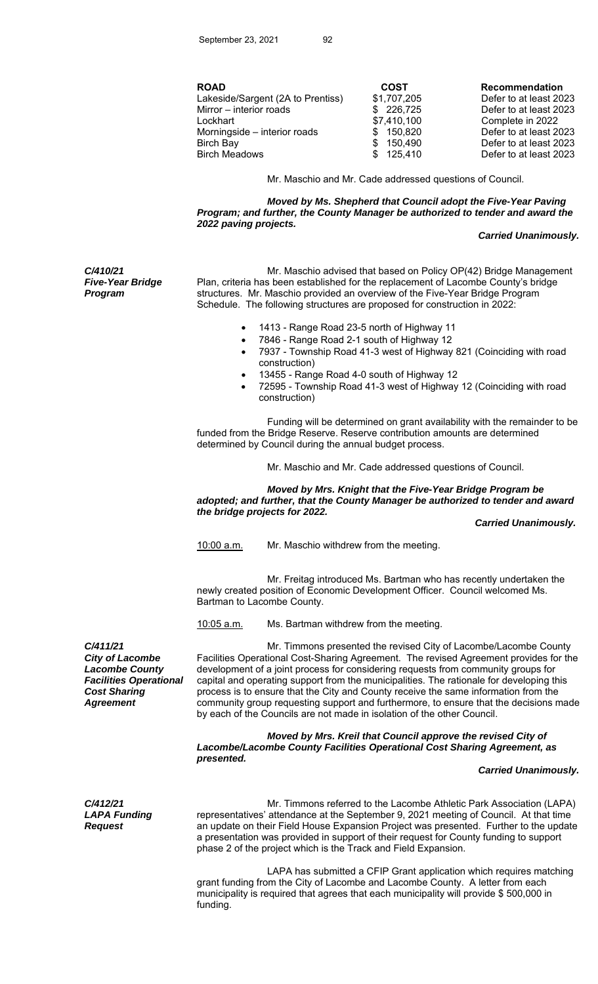|--|

| <b>ROAD</b>                       | <b>COST</b>                | <b>Recommendation</b>                            |
|-----------------------------------|----------------------------|--------------------------------------------------|
| Lakeside/Sargent (2A to Prentiss) | \$1,707,205                | Defer to at least 2023                           |
| Mirror – interior roads           | \$226,725                  | Defer to at least 2023                           |
| Lockhart                          | \$7,410,100                | Complete in 2022                                 |
| Morningside - interior roads      | \$150,820                  | Defer to at least 2023                           |
| Birch Bay<br><b>Birch Meadows</b> | 150.490<br>\$<br>\$125,410 | Defer to at least 2023<br>Defer to at least 2023 |

Mr. Maschio and Mr. Cade addressed questions of Council.

 *Moved by Ms. Shepherd that Council adopt the Five-Year Paving Program; and further, the County Manager be authorized to tender and award the 2022 paving projects.* 

#### *Carried Unanimously.*

*C/410/21 Five-Year Bridge Program* 

 Mr. Maschio advised that based on Policy OP(42) Bridge Management Plan, criteria has been established for the replacement of Lacombe County's bridge structures. Mr. Maschio provided an overview of the Five-Year Bridge Program Schedule. The following structures are proposed for construction in 2022:

- 1413 Range Road 23-5 north of Highway 11
- 7846 Range Road 2-1 south of Highway 12
- 7937 Township Road 41-3 west of Highway 821 (Coinciding with road construction)
- 13455 Range Road 4-0 south of Highway 12
- 72595 Township Road 41-3 west of Highway 12 (Coinciding with road construction)

 Funding will be determined on grant availability with the remainder to be funded from the Bridge Reserve. Reserve contribution amounts are determined determined by Council during the annual budget process.

Mr. Maschio and Mr. Cade addressed questions of Council.

 *Moved by Mrs. Knight that the Five-Year Bridge Program be adopted; and further, that the County Manager be authorized to tender and award the bridge projects for 2022.* 

 *Carried Unanimously.* 

10:00 a.m. Mr. Maschio withdrew from the meeting.

 Mr. Freitag introduced Ms. Bartman who has recently undertaken the newly created position of Economic Development Officer. Council welcomed Ms. Bartman to Lacombe County.

10:05 a.m. Ms. Bartman withdrew from the meeting.

*C/411/21 City of Lacombe Lacombe County Facilities Operational Cost Sharing Agreement* 

 Mr. Timmons presented the revised City of Lacombe/Lacombe County Facilities Operational Cost-Sharing Agreement. The revised Agreement provides for the development of a joint process for considering requests from community groups for capital and operating support from the municipalities. The rationale for developing this process is to ensure that the City and County receive the same information from the community group requesting support and furthermore, to ensure that the decisions made by each of the Councils are not made in isolation of the other Council.

 *Moved by Mrs. Kreil that Council approve the revised City of Lacombe/Lacombe County Facilities Operational Cost Sharing Agreement, as presented.* 

 *Carried Unanimously.* 

*C/412/21 LAPA Funding Request* 

Mr. Timmons referred to the Lacombe Athletic Park Association (LAPA) representatives' attendance at the September 9, 2021 meeting of Council. At that time an update on their Field House Expansion Project was presented. Further to the update a presentation was provided in support of their request for County funding to support phase 2 of the project which is the Track and Field Expansion.

 LAPA has submitted a CFIP Grant application which requires matching grant funding from the City of Lacombe and Lacombe County. A letter from each municipality is required that agrees that each municipality will provide \$ 500,000 in funding.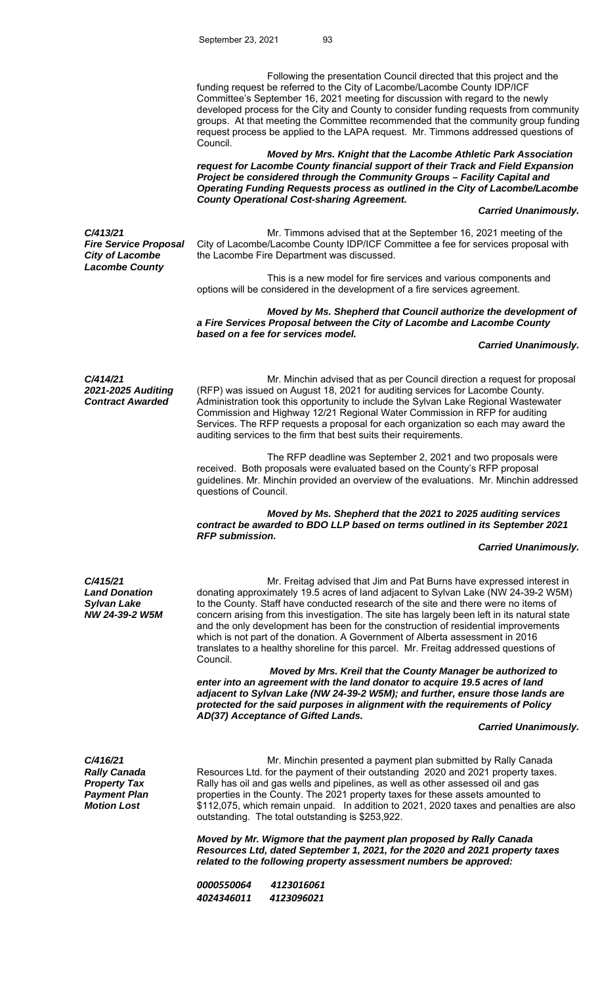Following the presentation Council directed that this project and the funding request be referred to the City of Lacombe/Lacombe County IDP/ICF Committee's September 16, 2021 meeting for discussion with regard to the newly developed process for the City and County to consider funding requests from community groups. At that meeting the Committee recommended that the community group funding request process be applied to the LAPA request. Mr. Timmons addressed questions of Council.

 *Moved by Mrs. Knight that the Lacombe Athletic Park Association request for Lacombe County financial support of their Track and Field Expansion Project be considered through the Community Groups – Facility Capital and Operating Funding Requests process as outlined in the City of Lacombe/Lacombe County Operational Cost-sharing Agreement.* 

### *Carried Unanimously.*

*C/413/21 Fire Service Proposal City of Lacombe Lacombe County* 

Mr. Timmons advised that at the September 16, 2021 meeting of the City of Lacombe/Lacombe County IDP/ICF Committee a fee for services proposal with the Lacombe Fire Department was discussed.

 This is a new model for fire services and various components and options will be considered in the development of a fire services agreement.

 *Moved by Ms. Shepherd that Council authorize the development of a Fire Services Proposal between the City of Lacombe and Lacombe County based on a fee for services model.* 

## *Carried Unanimously.*

*C/414/21 2021-2025 Auditing Contract Awarded* 

Mr. Minchin advised that as per Council direction a request for proposal (RFP) was issued on August 18, 2021 for auditing services for Lacombe County. Administration took this opportunity to include the Sylvan Lake Regional Wastewater Commission and Highway 12/21 Regional Water Commission in RFP for auditing Services. The RFP requests a proposal for each organization so each may award the auditing services to the firm that best suits their requirements.

 The RFP deadline was September 2, 2021 and two proposals were received. Both proposals were evaluated based on the County's RFP proposal guidelines. Mr. Minchin provided an overview of the evaluations. Mr. Minchin addressed questions of Council.

# *Moved by Ms. Shepherd that the 2021 to 2025 auditing services contract be awarded to BDO LLP based on terms outlined in its September 2021 RFP submission.*

### *Carried Unanimously.*

*C/415/21 Land Donation Sylvan Lake NW 24-39-2 W5M* 

 Mr. Freitag advised that Jim and Pat Burns have expressed interest in donating approximately 19.5 acres of land adjacent to Sylvan Lake (NW 24-39-2 W5M) to the County. Staff have conducted research of the site and there were no items of concern arising from this investigation. The site has largely been left in its natural state and the only development has been for the construction of residential improvements which is not part of the donation. A Government of Alberta assessment in 2016 translates to a healthy shoreline for this parcel. Mr. Freitag addressed questions of Council.

 *Moved by Mrs. Kreil that the County Manager be authorized to enter into an agreement with the land donator to acquire 19.5 acres of land adjacent to Sylvan Lake (NW 24-39-2 W5M); and further, ensure those lands are protected for the said purposes in alignment with the requirements of Policy AD(37) Acceptance of Gifted Lands.* 

### *Carried Unanimously.*

*C/416/21 Rally Canada Property Tax Payment Plan Motion Lost* 

Mr. Minchin presented a payment plan submitted by Rally Canada Resources Ltd. for the payment of their outstanding 2020 and 2021 property taxes. Rally has oil and gas wells and pipelines, as well as other assessed oil and gas properties in the County. The 2021 property taxes for these assets amounted to \$112,075, which remain unpaid. In addition to 2021, 2020 taxes and penalties are also outstanding. The total outstanding is \$253,922.

 *Moved by Mr. Wigmore that the payment plan proposed by Rally Canada Resources Ltd, dated September 1, 2021, for the 2020 and 2021 property taxes related to the following property assessment numbers be approved:* 

| <i>0000550064</i> | 4123016061 |
|-------------------|------------|
| 4024346011        | 4123096021 |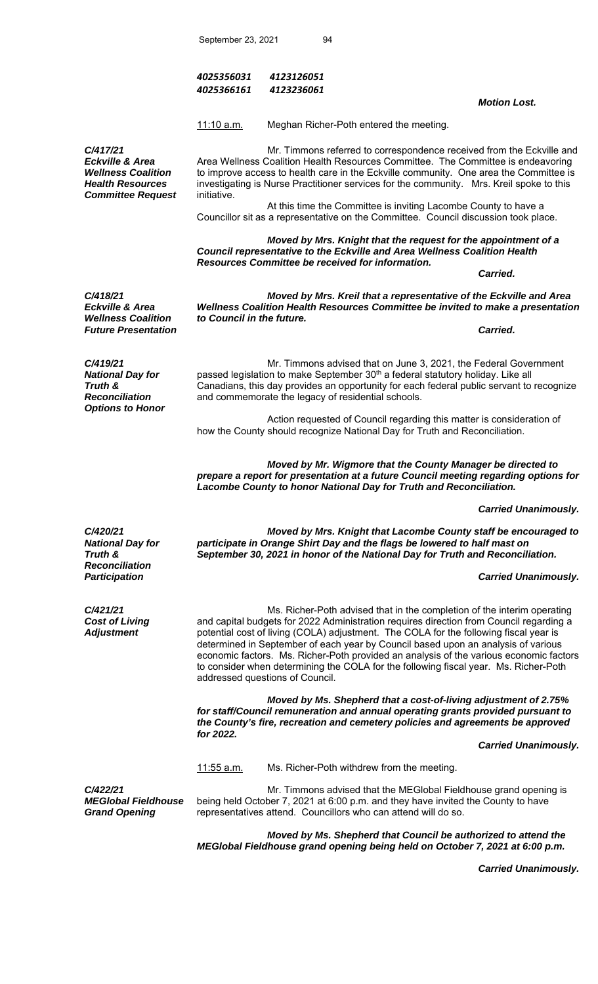| 4025356031 | 4123126051 |
|------------|------------|
| 4025366161 | 4123236061 |

11:10 a.m. Meghan Richer-Poth entered the meeting.

*C/417/21 Eckville & Area Wellness Coalition Health Resources Committee Request* 

 Mr. Timmons referred to correspondence received from the Eckville and Area Wellness Coalition Health Resources Committee. The Committee is endeavoring to improve access to health care in the Eckville community. One area the Committee is investigating is Nurse Practitioner services for the community. Mrs. Kreil spoke to this initiative.

 At this time the Committee is inviting Lacombe County to have a Councillor sit as a representative on the Committee. Council discussion took place.

 *Moved by Mrs. Knight that the request for the appointment of a Council representative to the Eckville and Area Wellness Coalition Health Resources Committee be received for information.* 

*Carried. Carried.* 

 *Motion Lost.* 

*C/418/21 Eckville & Area Wellness Coalition Future Presentation Carried.* 

*C/419/21* 

*Truth &* 

*National Day for* 

*Reconciliation Options to Honor* 

 *Moved by Mrs. Kreil that a representative of the Eckville and Area Wellness Coalition Health Resources Committee be invited to make a presentation to Council in the future.* 

 Mr. Timmons advised that on June 3, 2021, the Federal Government passed legislation to make September 30<sup>th</sup> a federal statutory holiday. Like all Canadians, this day provides an opportunity for each federal public servant to recognize and commemorate the legacy of residential schools.

 Action requested of Council regarding this matter is consideration of how the County should recognize National Day for Truth and Reconciliation.

 *Moved by Mr. Wigmore that the County Manager be directed to prepare a report for presentation at a future Council meeting regarding options for Lacombe County to honor National Day for Truth and Reconciliation.* 

 *Carried Unanimously.* 

*C/420/21 National Day for Truth & Reconciliation Participation* 

*C/421/21 Cost of Living Adjustment* 

 *Moved by Mrs. Knight that Lacombe County staff be encouraged to participate in Orange Shirt Day and the flags be lowered to half mast on September 30, 2021 in honor of the National Day for Truth and Reconciliation.* 

 *Carried Unanimously.* 

Ms. Richer-Poth advised that in the completion of the interim operating and capital budgets for 2022 Administration requires direction from Council regarding a potential cost of living (COLA) adjustment. The COLA for the following fiscal year is determined in September of each year by Council based upon an analysis of various economic factors. Ms. Richer-Poth provided an analysis of the various economic factors to consider when determining the COLA for the following fiscal year. Ms. Richer-Poth addressed questions of Council.

 *Moved by Ms. Shepherd that a cost-of-living adjustment of 2.75% for staff/Council remuneration and annual operating grants provided pursuant to the County's fire, recreation and cemetery policies and agreements be approved for 2022.* 

 *Carried Unanimously.* 

11:55 a.m. Ms. Richer-Poth withdrew from the meeting.

*C/422/21 MEGlobal Fieldhouse Grand Opening* 

 Mr. Timmons advised that the MEGlobal Fieldhouse grand opening is being held October 7, 2021 at 6:00 p.m. and they have invited the County to have representatives attend. Councillors who can attend will do so.

 *Moved by Ms. Shepherd that Council be authorized to attend the MEGlobal Fieldhouse grand opening being held on October 7, 2021 at 6:00 p.m.* 

 *Carried Unanimously.*